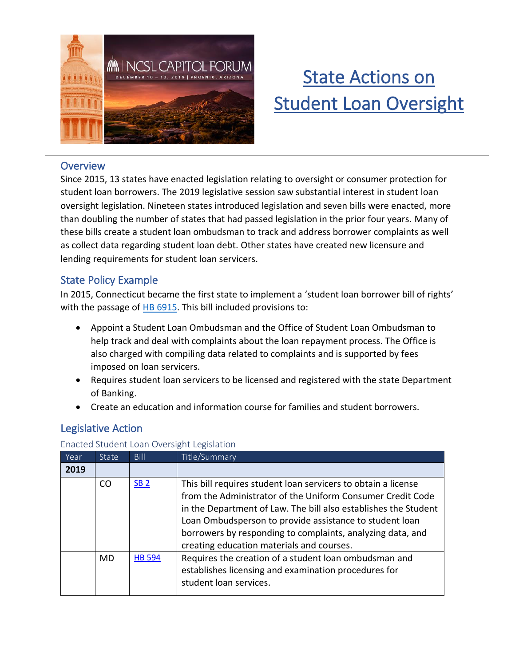

# State Actions on **Student Loan Oversight**

#### **Overview**

Since 2015, 13 states have enacted legislation relating to oversight or consumer protection for student loan borrowers. The 2019 legislative session saw substantial interest in student loan oversight legislation. Nineteen states introduced legislation and seven bills were enacted, more than doubling the number of states that had passed legislation in the prior four years. Many of these bills create a student loan ombudsman to track and address borrower complaints as well as collect data regarding student loan debt. Other states have created new licensure and lending requirements for student loan servicers.

## State Policy Example

In 2015, Connecticut became the first state to implement a 'student loan borrower bill of rights' with the passage of [HB 6915.](https://www.cga.ct.gov/2015/ACT/PA/2015PA-00162-R00HB-06915-PA.htm) This bill included provisions to:

- Appoint a Student Loan Ombudsman and the Office of Student Loan Ombudsman to help track and deal with complaints about the loan repayment process. The Office is also charged with compiling data related to complaints and is supported by fees imposed on loan servicers.
- Requires student loan servicers to be licensed and registered with the state Department of Banking.
- Create an education and information course for families and student borrowers.

## Legislative Action

#### Enacted Student Loan Oversight Legislation

| Year | <b>State</b> | Bill          | Title/Summary                                                                                                                                                                                                                                                                                                                                                        |
|------|--------------|---------------|----------------------------------------------------------------------------------------------------------------------------------------------------------------------------------------------------------------------------------------------------------------------------------------------------------------------------------------------------------------------|
| 2019 |              |               |                                                                                                                                                                                                                                                                                                                                                                      |
|      | CO           | <b>SB 2</b>   | This bill requires student loan servicers to obtain a license<br>from the Administrator of the Uniform Consumer Credit Code<br>in the Department of Law. The bill also establishes the Student<br>Loan Ombudsperson to provide assistance to student loan<br>borrowers by responding to complaints, analyzing data, and<br>creating education materials and courses. |
|      | <b>MD</b>    | <b>HB 594</b> | Requires the creation of a student loan ombudsman and<br>establishes licensing and examination procedures for<br>student loan services.                                                                                                                                                                                                                              |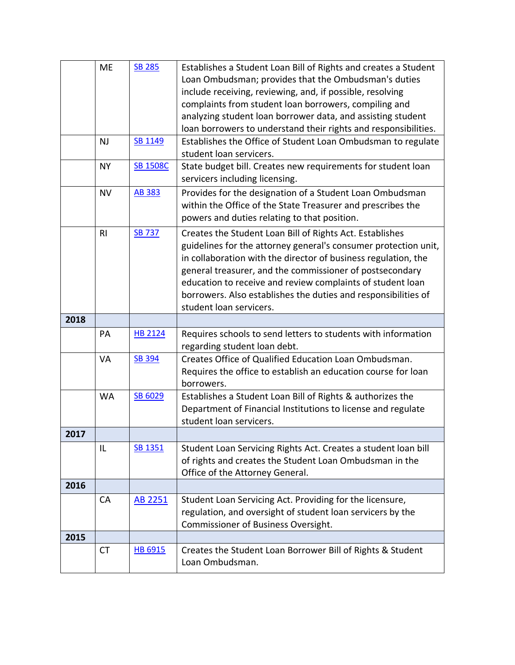|      | <b>ME</b>      | <b>SB 285</b>   | Establishes a Student Loan Bill of Rights and creates a Student               |
|------|----------------|-----------------|-------------------------------------------------------------------------------|
|      |                |                 | Loan Ombudsman; provides that the Ombudsman's duties                          |
|      |                |                 | include receiving, reviewing, and, if possible, resolving                     |
|      |                |                 | complaints from student loan borrowers, compiling and                         |
|      |                |                 | analyzing student loan borrower data, and assisting student                   |
|      |                |                 | loan borrowers to understand their rights and responsibilities.               |
|      | <b>NJ</b>      | SB 1149         | Establishes the Office of Student Loan Ombudsman to regulate                  |
|      |                |                 | student loan servicers.                                                       |
|      | <b>NY</b>      | <b>SB 1508C</b> | State budget bill. Creates new requirements for student loan                  |
|      |                |                 | servicers including licensing.                                                |
|      | <b>NV</b>      | <b>AB 383</b>   | Provides for the designation of a Student Loan Ombudsman                      |
|      |                |                 | within the Office of the State Treasurer and prescribes the                   |
|      |                |                 | powers and duties relating to that position.                                  |
|      | R <sub>l</sub> | <b>SB 737</b>   | Creates the Student Loan Bill of Rights Act. Establishes                      |
|      |                |                 | guidelines for the attorney general's consumer protection unit,               |
|      |                |                 | in collaboration with the director of business regulation, the                |
|      |                |                 | general treasurer, and the commissioner of postsecondary                      |
|      |                |                 | education to receive and review complaints of student loan                    |
|      |                |                 | borrowers. Also establishes the duties and responsibilities of                |
|      |                |                 | student loan servicers.                                                       |
| 2018 |                |                 |                                                                               |
|      | PA             | <b>HB 2124</b>  | Requires schools to send letters to students with information                 |
|      |                |                 | regarding student loan debt.                                                  |
|      | VA             | <b>SB 394</b>   | Creates Office of Qualified Education Loan Ombudsman.                         |
|      |                |                 | Requires the office to establish an education course for loan                 |
|      |                |                 |                                                                               |
|      |                |                 | borrowers.                                                                    |
|      | <b>WA</b>      | SB 6029         | Establishes a Student Loan Bill of Rights & authorizes the                    |
|      |                |                 | Department of Financial Institutions to license and regulate                  |
|      |                |                 | student loan servicers.                                                       |
| 2017 |                |                 |                                                                               |
|      | IL             | SB 1351         | Student Loan Servicing Rights Act. Creates a student loan bill                |
|      |                |                 | of rights and creates the Student Loan Ombudsman in the                       |
|      |                |                 | Office of the Attorney General.                                               |
| 2016 |                |                 |                                                                               |
|      | <b>CA</b>      | AB 2251         | Student Loan Servicing Act. Providing for the licensure,                      |
|      |                |                 | regulation, and oversight of student loan servicers by the                    |
|      |                |                 | Commissioner of Business Oversight.                                           |
| 2015 |                |                 |                                                                               |
|      | <b>CT</b>      | HB 6915         | Creates the Student Loan Borrower Bill of Rights & Student<br>Loan Ombudsman. |